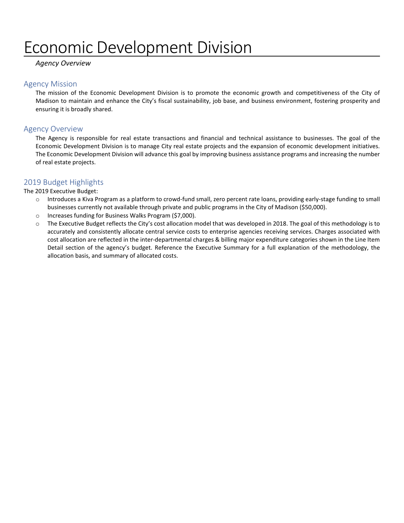# Economic Development Division

#### *Agency Overview*

#### Agency Mission

The mission of the Economic Development Division is to promote the economic growth and competitiveness of the City of Madison to maintain and enhance the City's fiscal sustainability, job base, and business environment, fostering prosperity and ensuring it is broadly shared.

#### Agency Overview

The Agency is responsible for real estate transactions and financial and technical assistance to businesses. The goal of the Economic Development Division is to manage City real estate projects and the expansion of economic development initiatives. The Economic Development Division will advance this goal by improving business assistance programs and increasing the number of real estate projects.

#### 2019 Budget Highlights

The 2019 Executive Budget:

- o Introduces a Kiva Program as a platform to crowd-fund small, zero percent rate loans, providing early-stage funding to small businesses currently not available through private and public programs in the City of Madison (\$50,000).
- o Increases funding for Business Walks Program (\$7,000).
- o The Executive Budget reflects the City's cost allocation model that was developed in 2018. The goal of this methodology is to accurately and consistently allocate central service costs to enterprise agencies receiving services. Charges associated with cost allocation are reflected in the inter-departmental charges & billing major expenditure categories shown in the Line Item Detail section of the agency's budget. Reference the Executive Summary for a full explanation of the methodology, the allocation basis, and summary of allocated costs.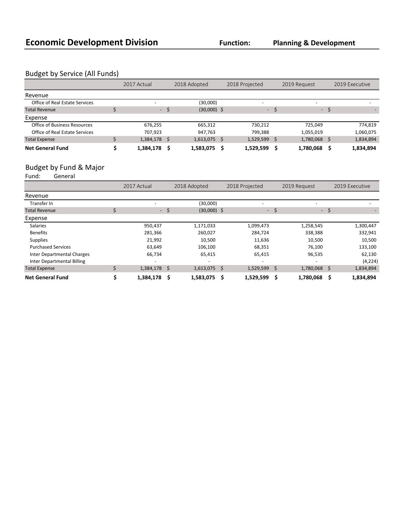## Budget by Service (All Funds)

|                                | 2017 Actual |    | 2018 Adopted  |      | 2018 Projected |     | 2019 Request             |      | 2019 Executive |
|--------------------------------|-------------|----|---------------|------|----------------|-----|--------------------------|------|----------------|
| Revenue                        |             |    |               |      |                |     |                          |      |                |
| Office of Real Estate Services |             |    | (30,000)      |      |                |     | $\overline{\phantom{0}}$ |      |                |
| <b>Total Revenue</b>           | - \$        |    | $(30,000)$ \$ |      |                | - S |                          | - \$ |                |
| Expense                        |             |    |               |      |                |     |                          |      |                |
| Office of Business Resources   | 676,255     |    | 665,312       |      | 730,212        |     | 725,049                  |      | 774,819        |
| Office of Real Estate Services | 707.923     |    | 947.763       |      | 799.388        |     | 1,055,019                |      | 1,060,075      |
| <b>Total Expense</b>           | 1,384,178   | -Ŝ | 1,613,075     | - \$ | 1,529,599      |     | 1,780,068                | S    | 1,834,894      |
| <b>Net General Fund</b>        | 1,384,178   | s  | 1,583,075     |      | 1,529,599      |     | 1,780,068                |      | 1,834,894      |

## Budget by Fund & Major<br>Fund: General

Fund: General

|                                   | 2017 Actual  |    | 2018 Adopted             |   | 2018 Projected           |    | 2019 Request |     | 2019 Executive |  |
|-----------------------------------|--------------|----|--------------------------|---|--------------------------|----|--------------|-----|----------------|--|
| Revenue                           |              |    |                          |   |                          |    |              |     |                |  |
| Transfer In                       |              |    | (30,000)                 |   |                          |    |              |     |                |  |
| <b>Total Revenue</b>              | $\sim$       | \$ | $(30,000)$ \$            |   | $\sim$                   | \$ | $\sim$ $-$   | -\$ |                |  |
| Expense                           |              |    |                          |   |                          |    |              |     |                |  |
| <b>Salaries</b>                   | 950,437      |    | 1,171,033                |   | 1,099,473                |    | 1,258,545    |     | 1,300,447      |  |
| <b>Benefits</b>                   | 281,366      |    | 260,027                  |   | 284,724                  |    | 338,388      |     | 332,941        |  |
| <b>Supplies</b>                   | 21,992       |    | 10,500                   |   | 11,636                   |    | 10,500       |     | 10,500         |  |
| <b>Purchased Services</b>         | 63,649       |    | 106,100                  |   | 68,351                   |    | 76,100       |     | 133,100        |  |
| Inter Departmental Charges        | 66,734       |    | 65,415                   |   | 65,415                   |    | 96,535       |     | 62,130         |  |
| <b>Inter Departmental Billing</b> |              |    | $\overline{\phantom{0}}$ |   | $\overline{\phantom{0}}$ |    |              |     | (4, 224)       |  |
| <b>Total Expense</b>              | 1,384,178 \$ |    | $1,613,075$ \$           |   | 1,529,599 \$             |    | 1,780,068 \$ |     | 1,834,894      |  |
| <b>Net General Fund</b>           | 1,384,178    | Ŝ  | 1,583,075                | Ŝ | 1,529,599                | Ś  | 1,780,068    | Ŝ   | 1,834,894      |  |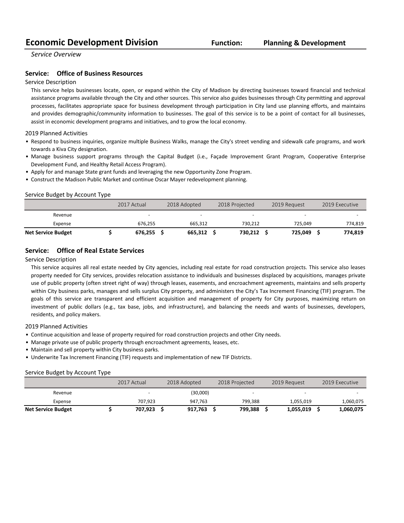## **Economic Development Division Function:**

*Service Overview*

#### **Service:** Office of Business Resources

#### Service Description

This service helps businesses locate, open, or expand within the City of Madison by directing businesses toward financial and technical assistance programs available through the City and other sources. This service also guides businesses through City permitting and approval processes, facilitates appropriate space for business development through participation in City land use planning efforts, and maintains and provides demographic/community information to businesses. The goal of this service is to be a point of contact for all businesses, assist in economic development programs and initiatives, and to grow the local economy.

#### 2019 Planned Activities

- Respond to business inquiries, organize multiple Business Walks, manage the City's street vending and sidewalk cafe programs, and work towards a Kiva City designation.
- Manage business support programs through the Capital Budget (i.e., Façade Improvement Grant Program, Cooperative Enterprise Development Fund, and Healthy Retail Access Program).
- Apply for and manage State grant funds and leveraging the new Opportunity Zone Program.
- Construct the Madison Public Market and continue Oscar Mayer redevelopment planning.

#### Service Budget by Account Type

|                           | 2017 Actual | 2018 Adopted | 2018 Projected |         | 2019 Request             | 2019 Executive |
|---------------------------|-------------|--------------|----------------|---------|--------------------------|----------------|
| Revenue                   |             | <b>.</b>     |                | -       | $\overline{\phantom{0}}$ |                |
| Expense                   | 676,255     | 665,312      |                | 730,212 | 725.049                  | 774,819        |
| <b>Net Service Budget</b> | 676.255     | 665.312      |                | 730.212 | 725.049                  | 774.819        |

#### **Service:** Office of Real Estate Services

#### Service Description

This service acquires all real estate needed by City agencies, including real estate for road construction projects. This service also leases property needed for City services, provides relocation assistance to individuals and businesses displaced by acquisitions, manages private use of public property (often street right of way) through leases, easements, and encroachment agreements, maintains and sells property within City business parks, manages and sells surplus City property, and administers the City's Tax Increment Financing (TIF) program. The goals of this service are transparent and efficient acquisition and management of property for City purposes, maximizing return on investment of public dollars (e.g., tax base, jobs, and infrastructure), and balancing the needs and wants of businesses, developers, residents, and policy makers.

#### 2019 Planned Activities

- Continue acquisition and lease of property required for road construction projects and other City needs.
- Manage private use of public property through encroachment agreements, leases, etc.
- Maintain and sell property within City business parks.
- Underwrite Tax Increment Financing (TIF) requests and implementation of new TIF Districts.

#### Service Budget by Account Type

|                           | 2017 Actual              | 2018 Adopted | 2018 Projected |         | 2019 Request             | 2019 Executive |
|---------------------------|--------------------------|--------------|----------------|---------|--------------------------|----------------|
| Revenue                   | $\overline{\phantom{0}}$ | (30,000)     |                | -       | $\overline{\phantom{0}}$ | <b>.</b>       |
| Expense                   | 707.923                  | 947.763      |                | 799.388 | 1.055.019                | 1,060,075      |
| <b>Net Service Budget</b> | 707.923                  | 917.763      |                | 799.388 | 1,055,019                | 1,060,075      |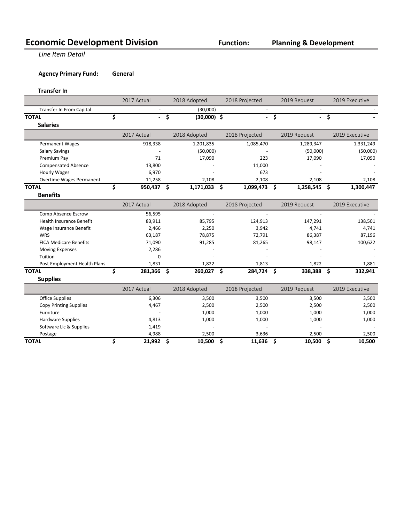## **Economic Development Division Function:**

**Line Item Detail** 

**Agency Primary Fund: General** 

**Transfer In**

|                                 | 2017 Actual          |                                 | 2018 Adopted  |      | 2018 Projected |    | 2019 Request |      | 2019 Executive |  |
|---------------------------------|----------------------|---------------------------------|---------------|------|----------------|----|--------------|------|----------------|--|
| <b>Transfer In From Capital</b> |                      |                                 | (30,000)      |      | $\omega$       |    |              |      |                |  |
| <b>TOTAL</b>                    | \$<br>$\overline{a}$ | $\overline{\boldsymbol{\zeta}}$ | $(30,000)$ \$ |      | $\blacksquare$ | \$ |              | $-5$ |                |  |
| <b>Salaries</b>                 |                      |                                 |               |      |                |    |              |      |                |  |
|                                 | 2017 Actual          |                                 | 2018 Adopted  |      | 2018 Projected |    | 2019 Request |      | 2019 Executive |  |
| <b>Permanent Wages</b>          | 918,338              |                                 | 1,201,835     |      | 1,085,470      |    | 1,289,347    |      | 1,331,249      |  |
| <b>Salary Savings</b>           |                      |                                 | (50,000)      |      |                |    | (50,000)     |      | (50,000)       |  |
| Premium Pay                     | 71                   |                                 | 17,090        |      | 223            |    | 17,090       |      | 17,090         |  |
| <b>Compensated Absence</b>      | 13,800               |                                 |               |      | 11,000         |    |              |      |                |  |
| <b>Hourly Wages</b>             | 6,970                |                                 |               |      | 673            |    |              |      |                |  |
| <b>Overtime Wages Permanent</b> | 11,258               |                                 | 2,108         |      | 2,108          |    | 2,108        |      | 2,108          |  |
| <b>TOTAL</b>                    | \$<br>950,437 \$     |                                 | 1,171,033     | - \$ | 1,099,473      | \$ | 1,258,545    | \$   | 1,300,447      |  |
| <b>Benefits</b>                 |                      |                                 |               |      |                |    |              |      |                |  |
|                                 | 2017 Actual          |                                 | 2018 Adopted  |      | 2018 Projected |    | 2019 Request |      | 2019 Executive |  |
| Comp Absence Escrow             | 56,595               |                                 |               |      |                |    |              |      |                |  |
| <b>Health Insurance Benefit</b> | 83,911               |                                 | 85,795        |      | 124,913        |    | 147,291      |      | 138,501        |  |
| Wage Insurance Benefit          | 2,466                |                                 | 2,250         |      | 3,942          |    | 4,741        |      | 4,741          |  |
| WRS                             | 63,187               |                                 | 78,875        |      | 72,791         |    | 86,387       |      | 87,196         |  |
| <b>FICA Medicare Benefits</b>   | 71,090               |                                 | 91,285        |      | 81,265         |    | 98,147       |      | 100,622        |  |
| <b>Moving Expenses</b>          | 2,286                |                                 |               |      |                |    |              |      |                |  |
| Tuition                         | $\Omega$             |                                 |               |      |                |    |              |      |                |  |
| Post Employment Health Plans    | 1,831                |                                 | 1,822         |      | 1,813          |    | 1,822        |      | 1,881          |  |
| <b>TOTAL</b>                    | \$<br>281,366        | \$                              | 260,027       | - \$ | 284,724        | \$ | 338,388      | \$.  | 332,941        |  |
| <b>Supplies</b>                 |                      |                                 |               |      |                |    |              |      |                |  |
|                                 | 2017 Actual          |                                 | 2018 Adopted  |      | 2018 Projected |    | 2019 Request |      | 2019 Executive |  |
| <b>Office Supplies</b>          | 6,306                |                                 | 3,500         |      | 3,500          |    | 3,500        |      | 3,500          |  |
| <b>Copy Printing Supplies</b>   | 4,467                |                                 | 2,500         |      | 2,500          |    | 2,500        |      | 2,500          |  |
| Furniture                       |                      |                                 | 1,000         |      | 1,000          |    | 1,000        |      | 1,000          |  |
| <b>Hardware Supplies</b>        | 4,813                |                                 | 1,000         |      | 1,000          |    | 1,000        |      | 1,000          |  |

 Software Lic & Supplies 1,419 - - - - Postage 2,500 2,500 2,500 3,636 2,500 2,500 2,500 2,500 2,500 2,500 2,500 2,500 2,500 2,500 2,500 2,500 2,500 2,500 2,500 2,500 2,500 2,500 2,500 2,500 2,500 2,500 2,500 2,500 2,500 2,500 2,500 2,500 2,500 2,500 2,500 2,50 **TOTAL \$ 21,992 \$ 10,500 \$ 11,636 \$ 10,500 \$ 10,500**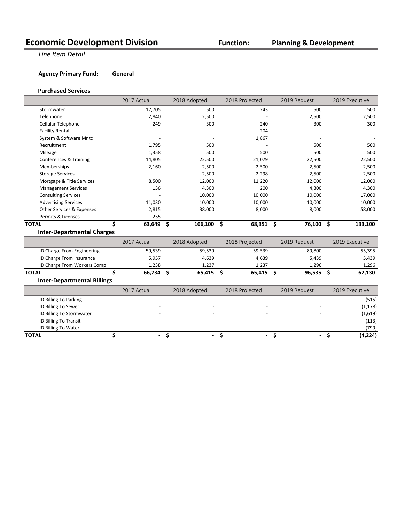## **Economic Development Division Function:**

### **Planning & Development**

**Line Item Detail** 

#### **Agency Primary Fund: General**

#### **Purchased Services**

|                                    | 2017 Actual  |    | 2018 Adopted | 2018 Projected | 2019 Request |     | 2019 Executive   |
|------------------------------------|--------------|----|--------------|----------------|--------------|-----|------------------|
| Stormwater                         | 17,705       |    | 500          | 243            | 500          |     | 500              |
| Telephone                          | 2,840        |    | 2,500        |                | 2,500        |     | 2,500            |
| Cellular Telephone                 | 249          |    | 300          | 240            | 300          |     | 300              |
| <b>Facility Rental</b>             |              |    |              | 204            |              |     |                  |
| System & Software Mntc             |              |    |              | 1,867          |              |     |                  |
| Recruitment                        | 1,795        |    | 500          |                | 500          |     | 500              |
| Mileage                            | 1,358        |    | 500          | 500            | 500          |     | 500              |
| Conferences & Training             | 14,805       |    | 22,500       | 21,079         | 22,500       |     | 22,500           |
| Memberships                        | 2,160        |    | 2,500        | 2,500          | 2,500        |     | 2,500            |
| <b>Storage Services</b>            |              |    | 2,500        | 2,298          | 2,500        |     | 2,500            |
| Mortgage & Title Services          | 8,500        |    | 12,000       | 11,220         | 12,000       |     | 12,000           |
| <b>Management Services</b>         | 136          |    | 4,300        | 200            | 4,300        |     | 4,300            |
| <b>Consulting Services</b>         |              |    | 10,000       | 10,000         | 10,000       |     | 17,000           |
| <b>Advertising Services</b>        | 11,030       |    | 10,000       | 10,000         | 10,000       |     | 10,000           |
| Other Services & Expenses          | 2,815        |    | 38,000       | 8,000          | 8,000        |     | 58,000           |
| Permits & Licenses                 | 255          |    |              |                |              |     |                  |
| <b>TOTAL</b>                       | Ś.<br>63,649 | \$ | 106,100 \$   | 68,351 \$      | 76,100 \$    |     | 133,100          |
| <b>Inter-Departmental Charges</b>  |              |    |              |                |              |     |                  |
|                                    | 2017 Actual  |    | 2018 Adopted | 2018 Projected | 2019 Request |     | 2019 Executive   |
| ID Charge From Engineering         |              |    |              |                |              |     |                  |
|                                    | 59,539       |    | 59,539       | 59,539         | 89,800       |     | 55,395           |
| ID Charge From Insurance           | 5,957        |    | 4,639        | 4,639          | 5,439        |     | 5,439            |
| ID Charge From Workers Comp        | 1,238        |    | 1,237        | 1,237          | 1,296        |     | 1,296            |
| <b>TOTAL</b>                       | \$<br>66,734 | Ŝ. | $65,415$ \$  | 65,415         | \$<br>96,535 | \$. | 62,130           |
| <b>Inter-Departmental Billings</b> |              |    |              |                |              |     |                  |
|                                    | 2017 Actual  |    | 2018 Adopted | 2018 Projected | 2019 Request |     | 2019 Executive   |
| ID Billing To Parking              |              |    |              | $\overline{a}$ |              |     | (515)            |
| ID Billing To Sewer                |              |    |              |                |              |     | (1, 178)         |
| ID Billing To Stormwater           |              |    |              |                |              |     |                  |
| ID Billing To Transit              |              |    |              |                |              |     | (1,619)<br>(113) |
| ID Billing To Water                |              |    |              |                |              |     | (799)            |